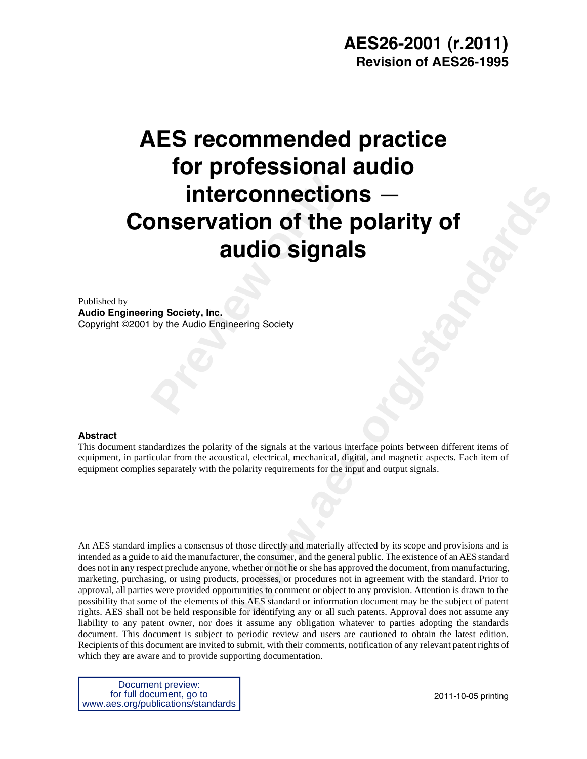# **Interconnection**<br> **Previous Concretion**<br> **Previous Conservation of the<br>
<b>Audio Signa**<br> **Previous Conservation Society**<br> **Propries Audio Engineering Society AES recommended practice for professional audio interconnections** — **Conservation of the polarity of audio signals**

Published by **Audio Engineering Society, Inc.**  Copyright ©2001 by the Audio Engineering Society

#### **Abstract**

This document standardizes the polarity of the signals at the various interface points between different items of equipment, in particular from the acoustical, electrical, mechanical, digital, and magnetic aspects. Each item of equipment complies separately with the polarity requirements for the input and output signals.

**Connections**<br> **weak of the polarity of**<br> **weak of the signals at the various interface points between different tierns of**<br>
of the signals at the various interface points between different tierns of<br>
radial, electrical, m An AES standard implies a consensus of those directly and materially affected by its scope and provisions and is intended as a guide to aid the manufacturer, the consumer, and the general public. The existence of an AES standard does not in any respect preclude anyone, whether or not he or she has approved the document, from manufacturing, marketing, purchasing, or using products, processes, or procedures not in agreement with the standard. Prior to approval, all parties were provided opportunities to comment or object to any provision. Attention is drawn to the possibility that some of the elements of this AES standard or information document may be the subject of patent rights. AES shall not be held responsible for identifying any or all such patents. Approval does not assume any liability to any patent owner, nor does it assume any obligation whatever to parties adopting the standards document. This document is subject to periodic review and users are cautioned to obtain the latest edition. Recipients of this document are invited to submit, with their comments, notification of any relevant patent rights of which they are aware and to provide supporting documentation.

Document preview: for full document, go to www.aes.org/publications/standards

2011-10-05 printing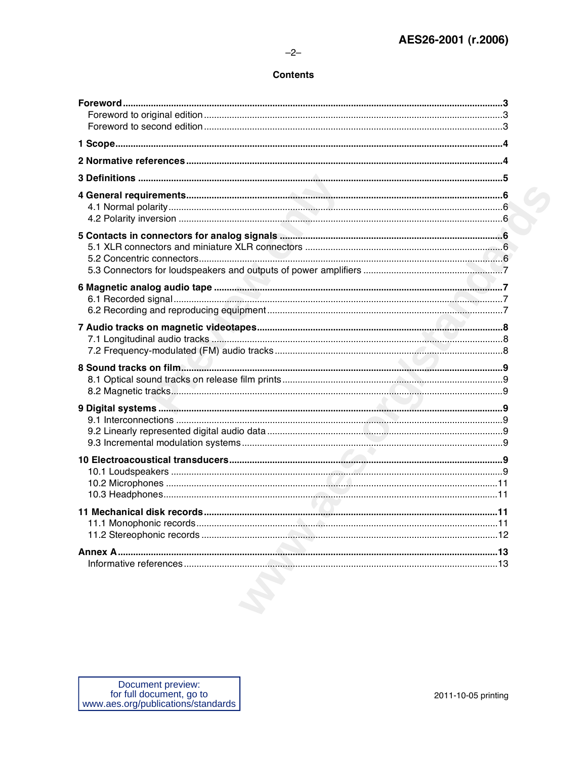## **Contents**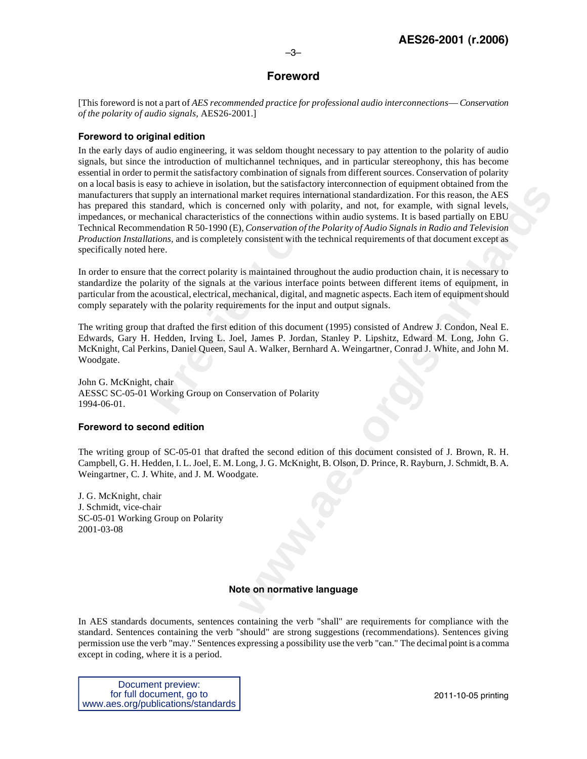## **Foreword**

–3–

[This foreword is not a part of *AES recommended practice for professional audio interconnections*— *Conservation of the polarity of audio signals,* AES26-2001.]

## **Foreword to original edition**

Fremmation sansation of orientation of signals from<br>asy to achieve in isolation, but the staffactory interc<br>supply an international market requires internationa<br>standard, which is concerned only with polarity,<br>chanical cha on, ou tue saistaccory metroduorulo or equipment observed only with polarity material points.<br>
market requires international standardization. For this reason, the AES<br>
certerd only with polarity, and not, for example, with In the early days of audio engineering, it was seldom thought necessary to pay attention to the polarity of audio signals, but since the introduction of multichannel techniques, and in particular stereophony, this has become essential in order to permit the satisfactory combination of signals from different sources. Conservation of polarity on a local basis is easy to achieve in isolation, but the satisfactory interconnection of equipment obtained from the manufacturers that supply an international market requires international standardization. For this reason, the AES has prepared this standard, which is concerned only with polarity, and not, for example, with signal levels, impedances, or mechanical characteristics of the connections within audio systems. It is based partially on EBU Technical Recommendation R 50-1990 (E), *Conservation of the Polarity of Audio Signals in Radio and Television Production Installations,* and is completely consistent with the technical requirements of that document except as specifically noted here.

In order to ensure that the correct polarity is maintained throughout the audio production chain, it is necessary to standardize the polarity of the signals at the various interface points between different items of equipment, in particular from the acoustical, electrical, mechanical, digital, and magnetic aspects. Each item of equipment should comply separately with the polarity requirements for the input and output signals.

The writing group that drafted the first edition of this document (1995) consisted of Andrew J. Condon, Neal E. Edwards, Gary H. Hedden, Irving L. Joel, James P. Jordan, Stanley P. Lipshitz, Edward M. Long, John G. McKnight, Cal Perkins, Daniel Queen, Saul A. Walker, Bernhard A. Weingartner, Conrad J. White, and John M. Woodgate.

John G. McKnight, chair AESSC SC-05-01 Working Group on Conservation of Polarity 1994-06-01.

#### **Foreword to second edition**

The writing group of SC-05-01 that drafted the second edition of this document consisted of J. Brown, R. H. Campbell, G. H. Hedden, I. L. Joel, E. M. Long, J. G. McKnight, B. Olson, D. Prince, R. Rayburn, J. Schmidt, B. A. Weingartner, C. J. White, and J. M. Woodgate.

J. G. McKnight, chair J. Schmidt, vice-chair SC-05-01 Working Group on Polarity 2001-03-08

## **Note on normative language**

In AES standards documents, sentences containing the verb "shall" are requirements for compliance with the standard. Sentences containing the verb "should" are strong suggestions (recommendations). Sentences giving permission use the verb "may." Sentences expressing a possibility use the verb "can." The decimal point is a comma except in coding, where it is a period.

Document preview: for full document, go to www.aes.org/publications/standards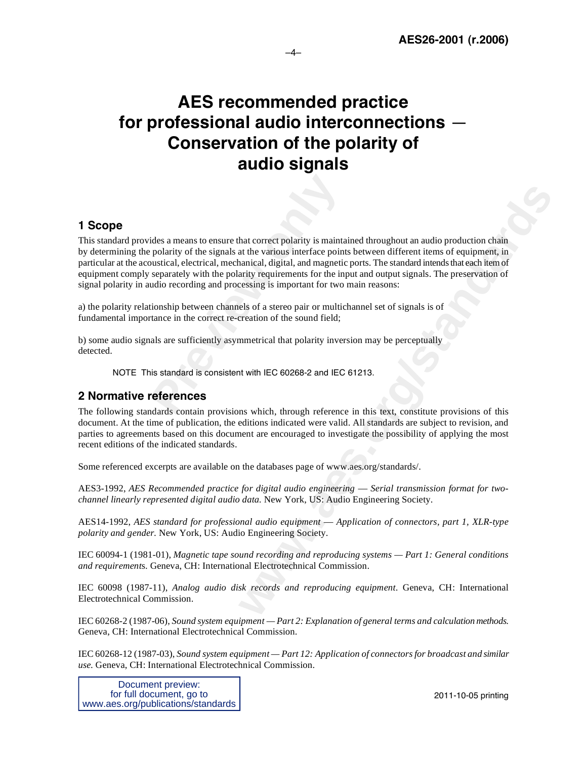## **AES recommended practice for professional audio interconnections** — **Conservation of the polarity of audio signals**

–4–

## **1 Scope**

ides a means to ensure that correct polarity is mainta<br>polarity of the signals at the various interface point<br>oustical, electrical, mechanical, digital, and magnetic<br>separately with the polarity requirements for the inpudi **hat correct polarity is maintained throughout an audio production chain** at the various interface points between different items of equipment, in a<br>nating, digital, and mangetic pois. The standard intends that each ten or This standard provides a means to ensure that correct polarity is maintained throughout an audio production chain by determining the polarity of the signals at the various interface points between different items of equipment, in particular at the acoustical, electrical, mechanical, digital, and magnetic ports. The standard intends that each item of equipment comply separately with the polarity requirements for the input and output signals. The preservation of signal polarity in audio recording and processing is important for two main reasons:

a) the polarity relationship between channels of a stereo pair or multichannel set of signals is of fundamental importance in the correct re-creation of the sound field;

b) some audio signals are sufficiently asymmetrical that polarity inversion may be perceptually detected.

NOTE This standard is consistent with IEC 60268-2 and IEC 61213.

## **2 Normative references**

The following standards contain provisions which, through reference in this text, constitute provisions of this document. At the time of publication, the editions indicated were valid. All standards are subject to revision, and parties to agreements based on this document are encouraged to investigate the possibility of applying the most recent editions of the indicated standards.

Some referenced excerpts are available on the databases page of www.aes.org/standards/.

AES3-1992, *AES Recommended practice for digital audio engineering* — *Serial transmission format for twochannel linearly represented digital audio data.* New York, US: Audio Engineering Society.

AES14-1992, *AES standard for professional audio equipment* — *Application of connectors, part 1, XLR-type polarity and gender.* New York, US: Audio Engineering Society.

IEC 60094-1 (1981-01), *Magnetic tape sound recording and reproducing systems — Part 1: General conditions and requirement*s. Geneva, CH: International Electrotechnical Commission.

IEC 60098 (1987-11), *Analog audio disk records and reproducing equipment*. Geneva, CH: International Electrotechnical Commission.

IEC 60268-2 (1987-06), *Sound system equipment — Part 2: Explanation of general terms and calculation methods.*  Geneva, CH: International Electrotechnical Commission.

IEC 60268-12 (1987-03), *Sound system equipment — Part 12: Application of connectors for broadcast and similar use.* Geneva, CH: International Electrotechnical Commission.

Document preview: for full document, go to www.aes.org/publications/standards

2011-10-05 printing